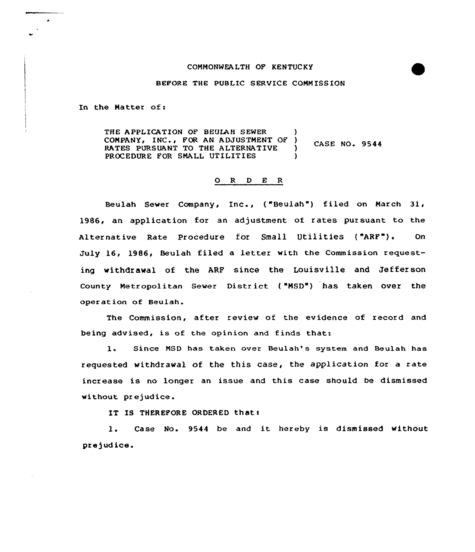## COMMONWEALTH OF KENTUCKY

## BEFORE THE PUBLIC SERVICE COMMISSION

In the Hatter of:

THE APPLICATION OF BEULAH SEWER COMPANY, INC., FOR AN ADJUSTMENT OF )<br>RATES PURSUANT TO THE ALTERNATIVE CASE NO. 9544 RATES PURSUANT TO THE ALTERNATIVE )<br>PROCEDURE FOR SMALL UTILITIES PROCEDURE FOR SMALL UTILITIES

## 0 <sup>R</sup> <sup>D</sup> E <sup>R</sup>

Beulah Sewer Company, Inc., ("Beulah") filed on March 31, 1986, an application for an adjustment of rates pursuant to the Alternative Rate Procedure for Small Utilities ("ARF"). Or July 16, 1986, Beulah filed a letter with the Commission requesting withdrawal of the ARF since the Louisville and Jefferson county Metropolitan sewer District ( "HsD") has taken over the operation of Beulah.

The Commission, after review of the evidence of record and being advised, is of the opinion and finds that:

1. Since NSD has taken over Beulah's system and Beulah has requested withdrawal of the this case, the application for a rate increase is no longer an issue and this case should be dismissed without prejudice.

IT IS THEREFORE ORDERED that:

l. Case No. <sup>9544</sup> be and it hereby is dismissed without prejudice.